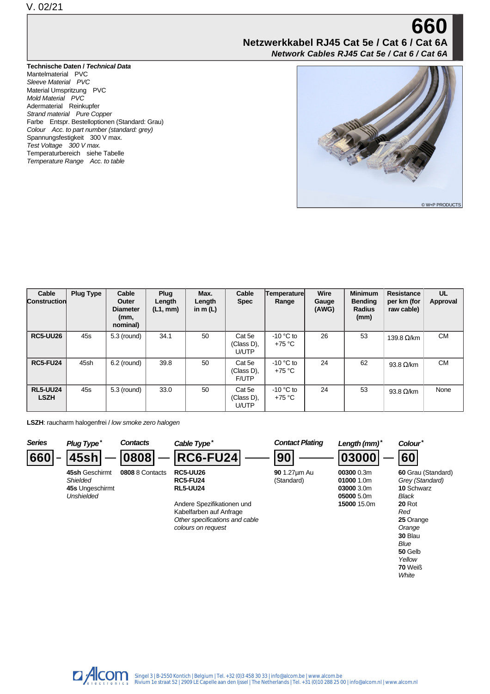## **660 Netzwerkkabel RJ45 Cat 5e / Cat 6 / Cat 6A Network Cables RJ45 Cat 5e / Cat 6 / Cat 6A**

## **Technische Daten / Technical Data**

Mantelmaterial PVC Sleeve Material PVC Material Umspritzung PVC Mold Material PVC Adermaterial Reinkupfer Strand material Pure Copper Farbe Entspr. Bestelloptionen (Standard: Grau) Colour Acc. to part number (standard: grey) Spannungsfestigkeit 300 V max. Test Voltage 300 V max. Temperaturbereich siehe Tabelle Temperature Range Acc. to table



**50** Gelb Yellow **70** Weiß **White** 

| Cable<br><b>Construction</b>   | <b>Plug Type</b> | Cable<br>Outer<br><b>Diameter</b><br>(mm,<br>nominal) | Plug<br>Length<br>(L1, mm) | Max.<br>Length<br>in m $(L)$ | Cable<br><b>Spec</b>                 | Temperature<br>Range    | <b>Wire</b><br>Gauge<br>(AWG) | <b>Minimum</b><br><b>Bending</b><br><b>Radius</b><br>(mm) | <b>Resistance</b><br>per km (for<br>raw cable) | UL<br>Approval |
|--------------------------------|------------------|-------------------------------------------------------|----------------------------|------------------------------|--------------------------------------|-------------------------|-------------------------------|-----------------------------------------------------------|------------------------------------------------|----------------|
| <b>RC5-UU26</b>                | 45s              | 5.3 (round)                                           | 34.1                       | 50                           | Cat 5e<br>(Class D).<br>U/UTP        | $-10$ °C to<br>$+75 °C$ | 26                            | 53                                                        | 139.8 $\Omega$ /km                             | <b>CM</b>      |
| <b>RC5-FU24</b>                | 45sh             | $6.2$ (round)                                         | 39.8                       | 50                           | Cat 5e<br>(Class D),<br><b>F/UTP</b> | $-10$ °C to<br>$+75 °C$ | 24                            | 62                                                        | 93.8 $\Omega$ /km                              | <b>CM</b>      |
| <b>RL5-UU24</b><br><b>LSZH</b> | 45s              | 5.3 (round)                                           | 33.0                       | 50                           | Cat 5e<br>(Class D).<br>U/UTP        | $-10$ °C to<br>$+75 °C$ | 24                            | 53                                                        | 93.8 $\Omega$ /km                              | None           |

LSZH: raucharm halogenfrei / low smoke zero halogen



 $\Box$  Alcom